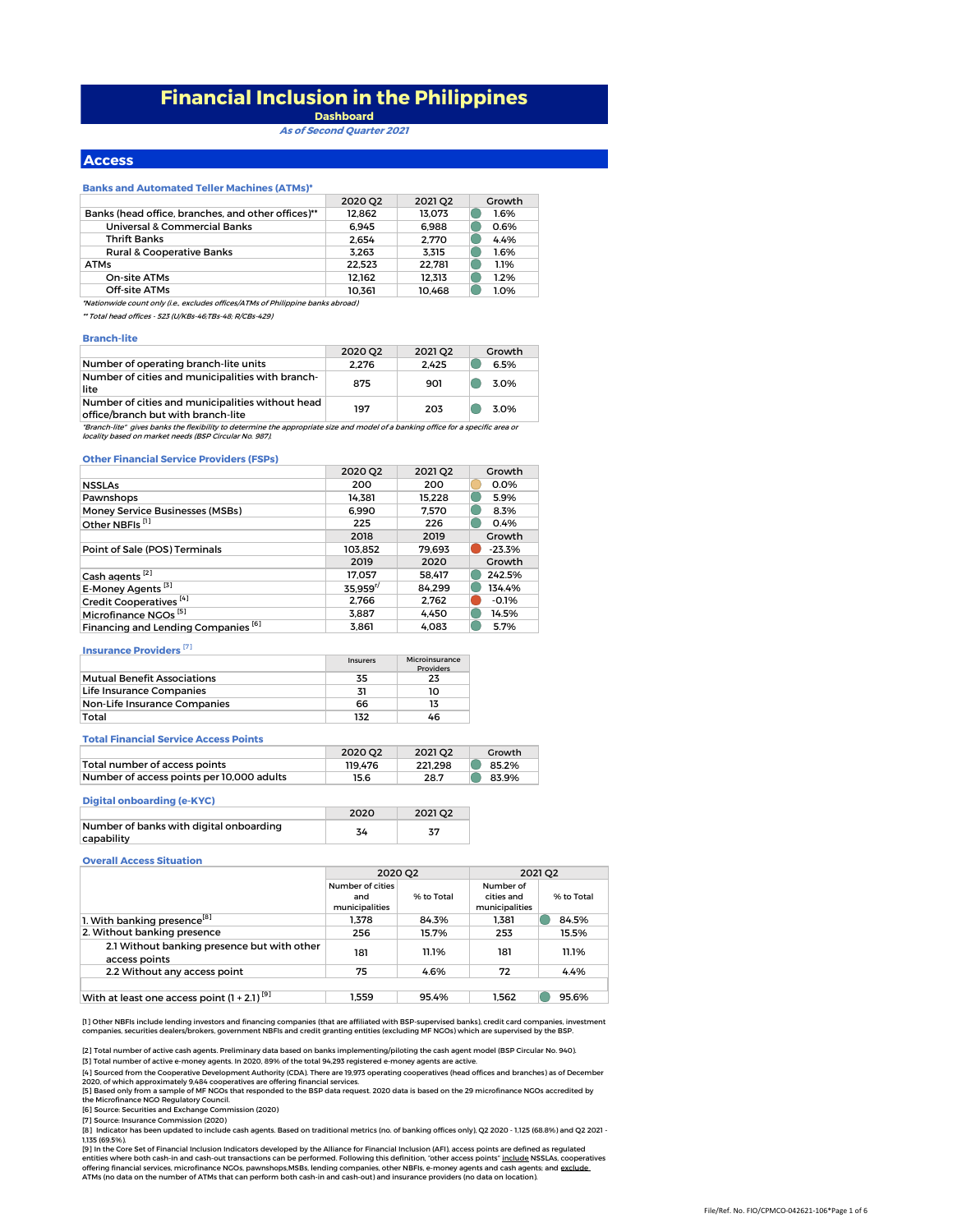# **Financial Inclusion in the Philippines Dashboard**

**As of Second Quarter 2021**

### **Access**

### **Banks and Automated Teller Machines (ATMs)\***

|                                                                                 | 2020 Q2 | 2021 Q <sub>2</sub> | Growth |  |
|---------------------------------------------------------------------------------|---------|---------------------|--------|--|
| Banks (head office, branches, and other offices)**                              | 12.862  | 13.073              | 1.6%   |  |
| Universal & Commercial Banks                                                    | 6.945   | 6.988               | 0.6%   |  |
| <b>Thrift Banks</b>                                                             | 2.654   | 2.770               | 4.4%   |  |
| Rural & Cooperative Banks                                                       | 3.263   | 3.315               | 1.6%   |  |
| <b>ATMs</b>                                                                     | 22.523  | 22.781              | 1.1%   |  |
| On-site ATMs                                                                    | 12.162  | 12.313              | 1.2%   |  |
| Off-site ATMs                                                                   | 10.361  | 10.468              | 1.0%   |  |
| *Nationwide count only (i.e., excludes offices/ATMs of Philippine banks abroad) |         |                     |        |  |

\*\* Total head offices - 523 (U/KBs-46;TBs-48; R/CBs-429)

### **Branch-lite**

|                                                                                        | 2020 02 | 2021 02 | Growth |
|----------------------------------------------------------------------------------------|---------|---------|--------|
| Number of operating branch-lite units                                                  | 2.276   | 2.425   | 6.5%   |
| Number of cities and municipalities with branch-<br>lite                               | 875     | 901     | 3.0%   |
| Number of cities and municipalities without head<br>office/branch but with branch-lite | 197     | 203     | 30%    |

office/branch-but with branch-lite<br>"Branch-lite" gives banks the flexibility to determine the appropriate size and model of a banking office for a specific area or<br>locality based on market needs (BSP Circular No. 987).

### **Other Financial Service Providers (FSPs)**

|                                                | 2020 O2                | 2021 02 | Growth   |
|------------------------------------------------|------------------------|---------|----------|
| <b>NSSLAs</b>                                  | 200                    | 200     | 0.0%     |
| Pawnshops                                      | 14.381                 | 15.228  | 5.9%     |
| Money Service Businesses (MSBs)                | 6.990                  | 7.570   | 8.3%     |
| Other NBFIs <sup>[1]</sup>                     | 225                    | 226     | 0.4%     |
|                                                | 2018                   | 2019    | Growth   |
| Point of Sale (POS) Terminals                  | 103.852                | 79.693  | $-23.3%$ |
|                                                | 2019                   | 2020    | Growth   |
| Cash agents <sup>[2]</sup>                     | 17.057                 | 58.417  | 242.5%   |
| E-Money Agents <sup>[3]</sup>                  | $35.959$ <sup>r/</sup> | 84.299  | 134.4%   |
| Credit Cooperatives <sup>[4]</sup>             | 2.766                  | 2.762   | $-0.1%$  |
| Microfinance NGOs <sup>[5]</sup>               | 3.887                  | 4.450   | 14.5%    |
| Financing and Lending Companies <sup>[6]</sup> | 3.861                  | 4.083   | 5.7%     |

Insurers Microinsurance

# **Insurance Providers** [7]

|                                    | Insurers | <b>MICROINSURANCE</b><br><b>Providers</b> |
|------------------------------------|----------|-------------------------------------------|
| <b>Mutual Benefit Associations</b> | 35       | 23                                        |
| Life Insurance Companies           | 31       | 10                                        |
| Non-Life Insurance Companies       | 66       | 13                                        |
| Total                              | 132      | 46                                        |

### **Total Financial Service Access Points**

|                                           | 2020 02 | 2021 02 | Growth |
|-------------------------------------------|---------|---------|--------|
| Total number of access points             | 119.476 | 221.298 | 85.2%  |
| Number of access points per 10,000 adults | 15.6    | 28.7    | 83.9%  |

### **Digital onboarding (e-KYC)**

|                                                       | 2020 | 2021 02 |
|-------------------------------------------------------|------|---------|
| Number of banks with digital onboarding<br>capability | 34   | 77      |

### **Overall Access Situation**

|                                                              | 2020 02                                   |            | 2021 02                                   |            |
|--------------------------------------------------------------|-------------------------------------------|------------|-------------------------------------------|------------|
|                                                              | Number of cities<br>and<br>municipalities | % to Total | Number of<br>cities and<br>municipalities | % to Total |
| 1. With banking presence <sup>[8]</sup>                      | 1.378                                     | 84.3%      | 1.381                                     | 84.5%      |
| 2. Without banking presence                                  | 256                                       | 15.7%      | 253                                       | 15.5%      |
| 2.1 Without banking presence but with other<br>access points | 181                                       | 11.1%      | 181                                       | 11.1%      |
| 2.2 Without any access point                                 | 75                                        | 4.6%       | 72                                        | 4.4%       |
|                                                              |                                           |            |                                           |            |
| With at least one access point $(1 + 2.1)^{9}$               | 1.559                                     | 95.4%      | 1.562                                     | 95.6%      |

[1] Other NBFIs include lending investors and financing companies (that are affiliated with BSP-supervised banks), credit card companies, investment<br>companies, securities dealers/brokers, government NBFIs and credit granti

[2] Total number of active cash agents. Preliminary data based on banks implementing/piloting the cash agent model (BSP Circular No. 940). [3] Total number of active e-money agents. In 2020, 89% of the total 94,293 registered e-money agents are active.

[4] Sourced from the Cooperative Development Authority (CDA). There are 19,973 operating cooperatives (head offices and branches) as of December

[5] Based only from a sample of MF NGOs that responded to the BSP data request. 2020 data is based on the 29 microfinance NGOs accredited by<br>the Microfinance NGO Regulatory Council. 2020, of which approximately 9,484 cooperatives are offering financial services.

[6] Source: Securities and Exchange Commission (2020)

[7] Source: Insurance Commission (2020)<br>[8] Indicator has been updated to include cash agents. Based on traditional metrics (no. of banking offices only), Q2 2020 - 1,125 (68.8%) and Q2 2021 -1,135 (69.5%).

[9] In the Core Set of Financial Inclusion Indicators developed by the Alliance for Financial Inclusion (AFI), access points are defined as regulated<br>entities where both cash-in and cash-out transactions can be performed.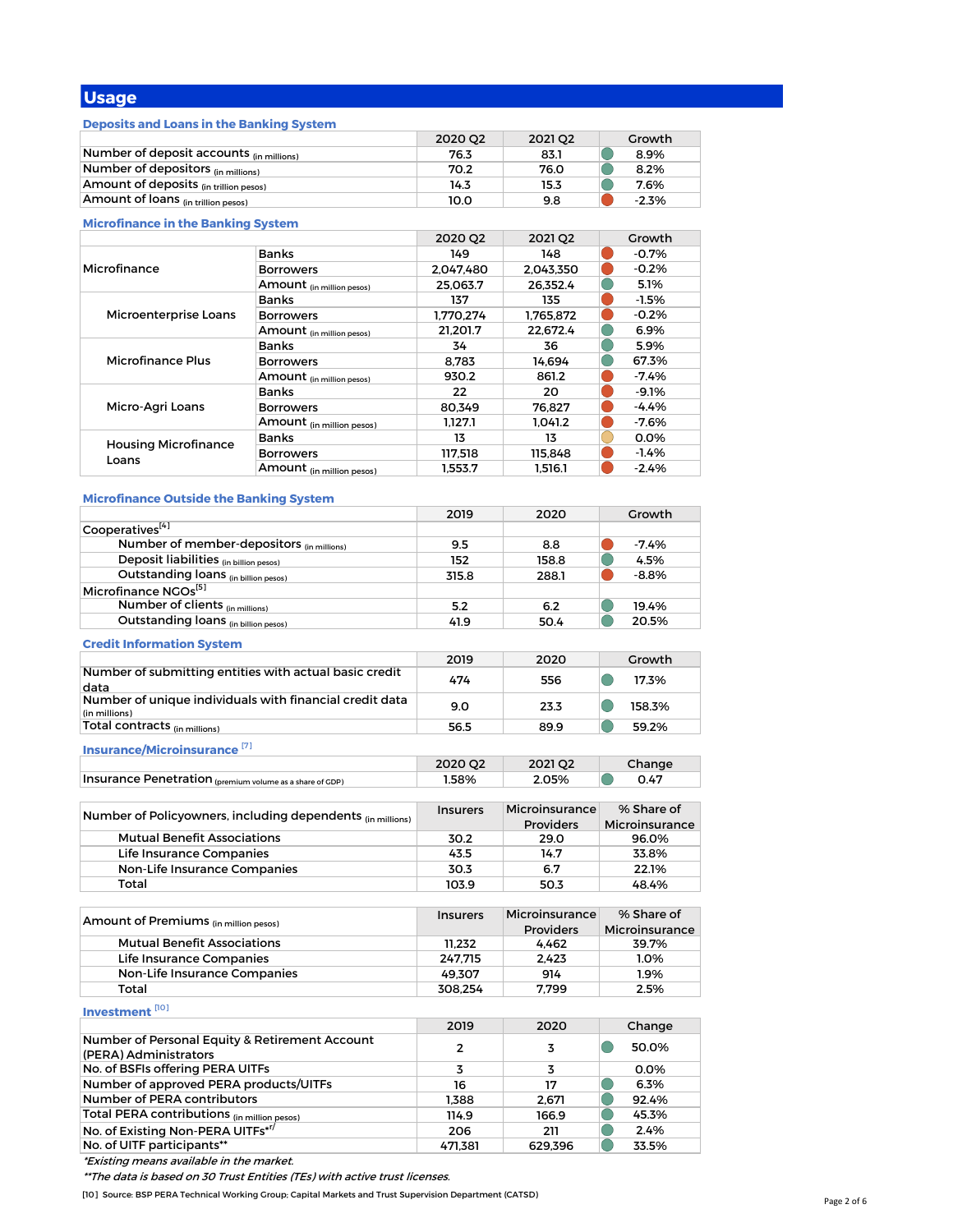# **Usage**

# **Deposits and Loans in the Banking System**

|                                          | 2020 02 | 2021 02 | Growth  |
|------------------------------------------|---------|---------|---------|
| Number of deposit accounts (in millions) | 76.3    | 83.1    | 8.9%    |
| Number of depositors (in millions)       | 70.2    | 76.0    | 8.2%    |
| Amount of deposits (in trillion pesos)   | 14.3    | 15.3    | 7.6%    |
| Amount of loans (in trillion pesos)      | 10.0    | 9.8     | $-2.3%$ |

# **Microfinance in the Banking System**

|                                      |                                      | 2020 O2   | 2021 Q2   | Growth   |
|--------------------------------------|--------------------------------------|-----------|-----------|----------|
|                                      | <b>Banks</b>                         | 149       | 148       | $-0.7\%$ |
| Microfinance                         | <b>Borrowers</b>                     | 2.047.480 | 2.043.350 | $-0.2%$  |
|                                      | Amount (in million pesos)            | 25.063.7  | 26.352.4  | 5.1%     |
|                                      | <b>Banks</b>                         | 137       | 135       | $-1.5%$  |
| Microenterprise Loans                | <b>Borrowers</b>                     | 1.770.274 | 1.765.872 | $-0.2%$  |
|                                      | Amount <sub>(in million pesos)</sub> | 21.201.7  | 22.672.4  | 6.9%     |
| Microfinance Plus                    | <b>Banks</b>                         | 34        | 36        | 5.9%     |
|                                      | <b>Borrowers</b>                     | 8.783     | 14.694    | 67.3%    |
|                                      | Amount <sub>(in million pesos)</sub> | 930.2     | 861.2     | $-7.4%$  |
|                                      | <b>Banks</b>                         | 22        | 20        | $-9.1%$  |
| Micro-Agri Loans                     | <b>Borrowers</b>                     | 80.349    | 76.827    | $-4.4%$  |
|                                      | Amount <sub>(in million pesos)</sub> | 1.127.1   | 1.041.2   | $-7.6%$  |
| <b>Housing Microfinance</b><br>Loans | <b>Banks</b>                         | 13        | 13        | 0.0%     |
|                                      | <b>Borrowers</b>                     | 117.518   | 115.848   | $-1.4%$  |
|                                      | Amount (in million pesos)            | 1.553.7   | 1.516.1   | $-2.4%$  |

# **Microfinance Outside the Banking System**

|                                                                 | 2019            | 2020                  | Growth                     |
|-----------------------------------------------------------------|-----------------|-----------------------|----------------------------|
| Cooperatives <sup>[4]</sup>                                     |                 |                       |                            |
| Number of member-depositors (in millions)                       | 9.5             | 8.8                   | $-7.4%$                    |
| Deposit liabilities (in billion pesos)                          | 152             | 158.8                 | 4.5%                       |
| Outstanding loans (in billion pesos)                            | 315.8           | 288.1                 | $-8.8%$                    |
| Microfinance NGOs <sup>[5]</sup>                                |                 |                       |                            |
| Number of clients (in millions)                                 | 5.2             | 6.2                   | 19.4%                      |
| Outstanding loans (in billion pesos)                            | 41.9            | 50.4                  | 20.5%                      |
|                                                                 |                 |                       |                            |
| <b>Credit Information System</b>                                |                 |                       |                            |
|                                                                 | 2019            | 2020                  | Growth                     |
| Number of submitting entities with actual basic credit          | 474             | 556                   | $\bigcirc$<br>17.3%        |
| data<br>Number of unique individuals with financial credit data |                 |                       |                            |
| (in millions)                                                   | 9.0             | 23.3                  | $\hspace{0.1in}$<br>158.3% |
| Total contracts (in millions)                                   | 56.5            | 89.9                  | 59.2%                      |
|                                                                 |                 |                       |                            |
| Insurance/Microinsurance <sup>[7]</sup>                         |                 |                       |                            |
|                                                                 | 2020 Q2         | 2021 Q2               | Change                     |
| Insurance Penetration (premium volume as a share of GDP)        | 1.58%           | 2.05%                 | 0.47                       |
|                                                                 |                 |                       |                            |
| Number of Policyowners, including dependents (in millions)      | <b>Insurers</b> | <b>Microinsurance</b> | % Share of                 |
|                                                                 |                 | <b>Providers</b>      | Microinsurance             |
| <b>Mutual Benefit Associations</b>                              | 30.2            | 29.0                  | 96.0%                      |
| Life Insurance Companies                                        | 43.5            | 14.7                  | 33.8%                      |
| Non-Life Insurance Companies                                    | 30.3            | 6.7                   | 22.1%                      |
| Total                                                           | 103.9           | 50.3                  | 48.4%                      |
|                                                                 |                 |                       |                            |
| Amount of Premiums (in million pesos)                           | <b>Insurers</b> | <b>Microinsurance</b> | % Share of                 |
|                                                                 |                 | <b>Providers</b>      | Microinsurance             |
| <b>Mutual Benefit Associations</b>                              | 11,232          | 4,462                 | 39.7%                      |
| Life Insurance Companies                                        | 247,715         | 2.423                 | 1.0%                       |
| Non-Life Insurance Companies                                    | 49,307          | 914                   | $1.9\%$                    |
| Total                                                           | 308,254         | 7,799                 | 2.5%                       |
| Investment <sup>[10]</sup>                                      |                 |                       |                            |
|                                                                 | 2019            | 2020                  | Change                     |
| Number of Personal Equity & Retirement Account                  |                 |                       |                            |
| (PERA) Administrators                                           | $\overline{2}$  | 3                     | $\bigcirc$<br>50.0%        |
| No. of BSFIs offering PERA UITFs                                | 3               | 3                     | 0.0%                       |
| Number of approved PERA products/UITFs                          | 16              | 17                    | 6.3%                       |
| Number of PERA contributors                                     | 1,388           | 2.671                 | 92.4%                      |
| Total PERA contributions (in million pesos)                     | 114.9           | 166.9                 | 45.3%                      |
| No. of Existing Non-PERA UITFs* <sup>r/</sup>                   | 206             | 211                   | 2.4%                       |
| No. of UITF participants**                                      | 471.381         | 629,396               | 33.5%                      |
|                                                                 |                 |                       |                            |

\*Existing means available in the market.

\*\*The data is based on 30 Trust Entities (TEs) with active trust licenses.

[10] Source: BSP PERA Technical Working Group; Capital Markets and Trust Supervision Department (CATSD)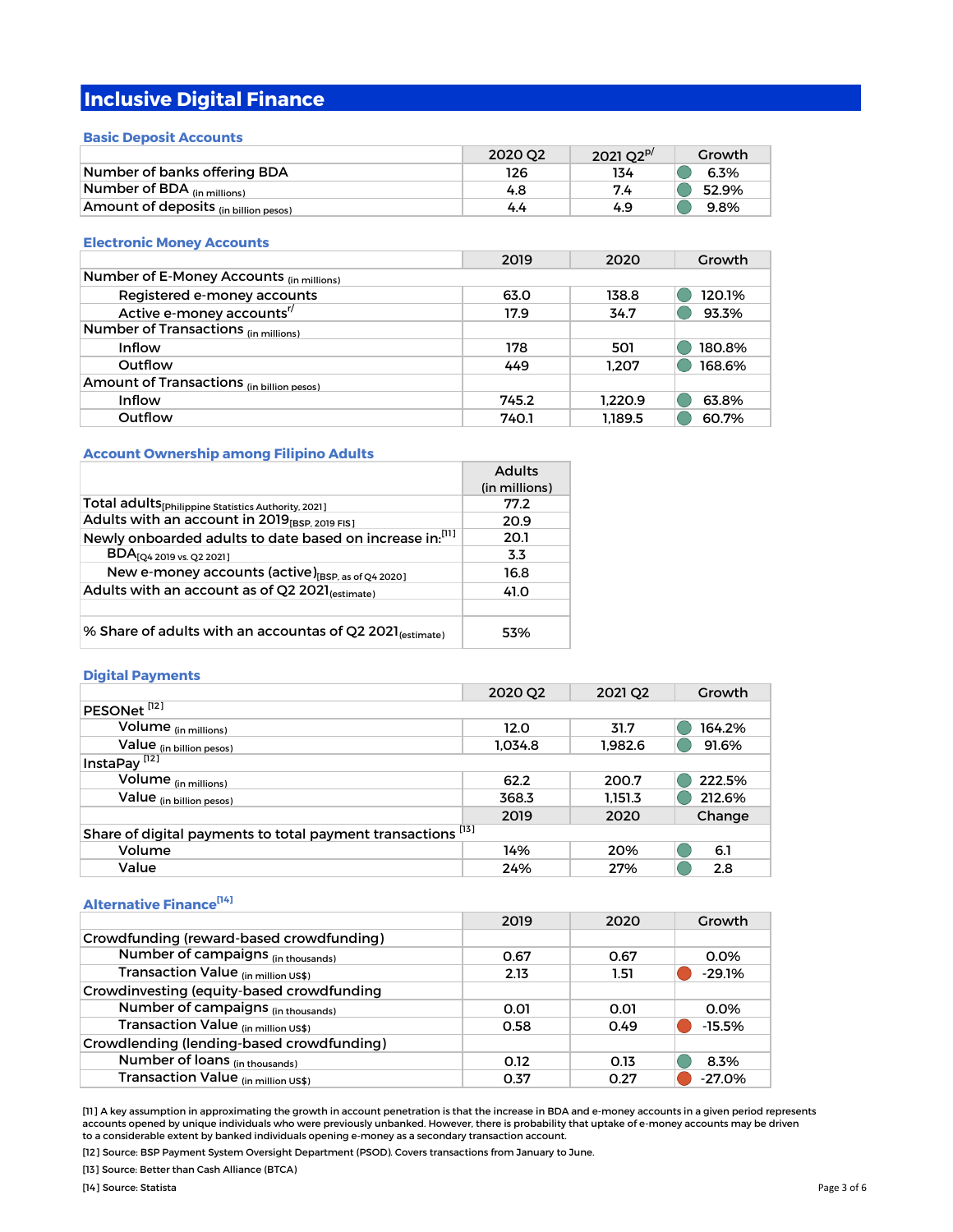# **Inclusive Digital Finance**

# **Basic Deposit Accounts**

|                                       | 2020 02 | 2021 $O2^{P}$ | Growth |
|---------------------------------------|---------|---------------|--------|
| Number of banks offering BDA          | 126     | 134           | 6.3%   |
| Number of BDA $_{(in\, millions)}$    | 4.8     | 7.4           | 52.9%  |
| Amount of deposits (in billion pesos) | 4.4     | 4.9           | 9.8%   |

# **Electronic Money Accounts**

|                                           | 2019  | 2020    | Growth |
|-------------------------------------------|-------|---------|--------|
| Number of E-Money Accounts (in millions)  |       |         |        |
| Registered e-money accounts               | 63.0  | 138.8   | 120.1% |
| Active e-money accounts <sup>"/</sup>     | 17.9  | 34.7    | 93.3%  |
| Number of Transactions (in millions)      |       |         |        |
| Inflow                                    | 178   | 501     | 180.8% |
| Outflow                                   | 449   | 1.207   | 168.6% |
| Amount of Transactions (in billion pesos) |       |         |        |
| Inflow                                    | 745.2 | 1.220.9 | 63.8%  |
| Outflow                                   | 740.1 | 1.189.5 | 60.7%  |

# **Account Ownership among Filipino Adults**

|                                                                      | <b>Adults</b> |
|----------------------------------------------------------------------|---------------|
|                                                                      | (in millions) |
| Total adults [philippine Statistics Authority, 2021]                 | 77.2          |
| Adults with an account in 2019 <sub>[BSP, 2019 FIS]</sub>            | 20.9          |
| Newly onboarded adults to date based on increase in:[11]             | 20.1          |
| $\text{BDA}_{[Q4\,2019\,\text{vs.}\,Q2\,2021]}$                      | 3.3           |
| New e-money accounts (active) <sub>[BSP, as of Q4</sub> 2020]        | 16.8          |
| Adults with an account as of Q2 2021 <sub>(estimate)</sub>           | 41.0          |
|                                                                      |               |
| % Share of adults with an accountas of Q2 2021 <sub>(estimate)</sub> | 53%           |

# **Digital Payments**

|                                                              | 2020 Q2 | 2021 Q <sub>2</sub> | Growth |
|--------------------------------------------------------------|---------|---------------------|--------|
| PESONet <sup>[12]</sup>                                      |         |                     |        |
| Volume (in millions)                                         | 12.0    | 31.7                | 164.2% |
| Value <sub>(in billion pesos)</sub>                          | 1.034.8 | 1.982.6             | 91.6%  |
| InstaPay <sup>[12]</sup>                                     |         |                     |        |
| Volume (in millions)                                         | 62.2    | 200.7               | 222.5% |
| Value (in billion pesos)                                     | 368.3   | 1.151.3             | 212.6% |
|                                                              | 2019    | 2020                | Change |
| Share of digital payments to total payment transactions [13] |         |                     |        |
| Volume                                                       | 14%     | 20%                 | 6.1    |
| Value                                                        | 24%     | 27%                 | 2.8    |

# **Alternative Finance[14]**

|                                           | 2019 | 2020 | Growth   |
|-------------------------------------------|------|------|----------|
| Crowdfunding (reward-based crowdfunding)  |      |      |          |
| Number of campaigns (in thousands)        | 0.67 | 0.67 | 0.0%     |
| Transaction Value (in million US\$)       | 2.13 | 1.51 | $-29.1%$ |
| Crowdinvesting (equity-based crowdfunding |      |      |          |
| Number of campaigns (in thousands)        | 0.01 | 0.01 | 0.0%     |
| Transaction Value (in million US\$)       | 0.58 | 0.49 | $-15.5%$ |
| Crowdlending (lending-based crowdfunding) |      |      |          |
| Number of loans (in thousands)            | 0.12 | 0.13 | 8.3%     |
| Transaction Value (in million US\$)       | 0.37 | 0.27 | $-27.0%$ |

[11] A key assumption in approximating the growth in account penetration is that the increase in BDA and e-money accounts in a given period represents accounts opened by unique individuals who were previously unbanked. However, there is probability that uptake of e-money accounts may be driven to a considerable extent by banked individuals opening e-money as a secondary transaction account.

[12] Source: BSP Payment System Oversight Department (PSOD). Covers transactions from January to June.

[13] Source: Better than Cash Alliance (BTCA)

[14] Source: Statista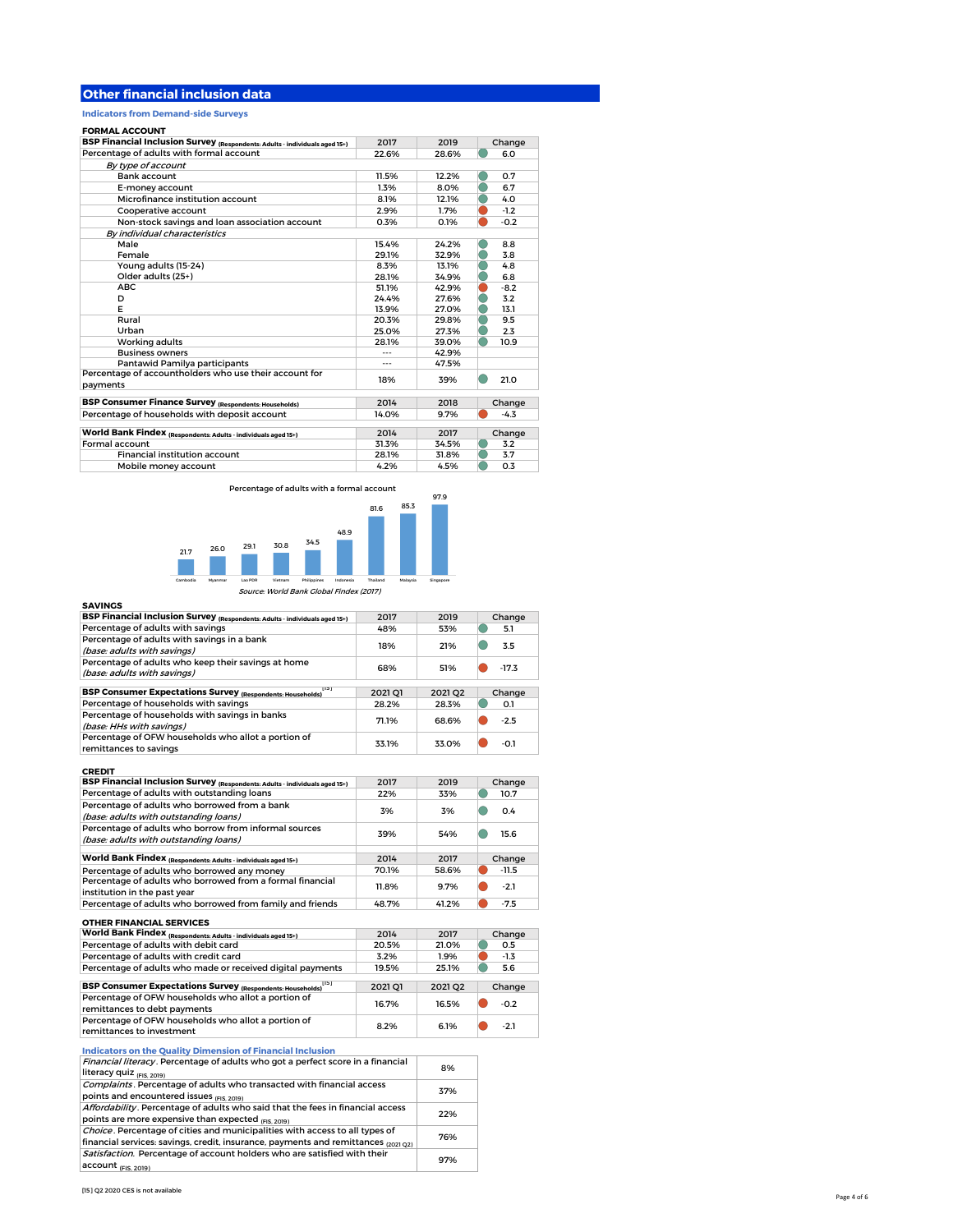# **Other financial inclusion data**

**Indicators from Demand-side Surveys**

### **FORMAL ACCOUNT**

| BSP Financial Inclusion Survey (Respondents: Adults - individuals aged 15+) | 2017  | 2019  | Change |
|-----------------------------------------------------------------------------|-------|-------|--------|
| Percentage of adults with formal account                                    | 22.6% | 28.6% | 6.0    |
| By type of account                                                          |       |       |        |
| Bank account                                                                | 11.5% | 12.2% | 0.7    |
| E-money account                                                             | 1.3%  | 8.0%  | 6.7    |
| Microfinance institution account                                            | 8.1%  | 12.1% | 4.0    |
| Cooperative account                                                         | 2.9%  | 1.7%  | $-1.2$ |
| Non-stock savings and loan association account                              | 0.3%  | 0.1%  | $-0.2$ |
| By individual characteristics                                               |       |       |        |
| Male                                                                        | 15.4% | 24.2% | 8.8    |
| Female                                                                      | 29.1% | 32.9% | 3.8    |
| Young adults (15-24)                                                        | 8.3%  | 13.1% | 4.8    |
| Older adults (25+)                                                          | 28.1% | 34.9% | 6.8    |
| <b>ABC</b>                                                                  | 51.1% | 42.9% | $-8.2$ |
| D                                                                           | 24.4% | 27.6% | 3.2    |
| Е                                                                           | 13.9% | 27.0% | 13.1   |
| Rural                                                                       | 20.3% | 29.8% | 9.5    |
| Urban                                                                       | 25.0% | 27.3% | 2.3    |
| Working adults                                                              | 28.1% | 39.0% | 10.9   |
| <b>Business owners</b>                                                      |       | 42.9% |        |
| Pantawid Pamilya participants                                               | ---   | 47.5% |        |
| Percentage of accountholders who use their account for<br>payments          | 18%   | 39%   | 21.0   |
| <b>BSP Consumer Finance Survey (Respondents: Households)</b>                | 2014  | 2018  | Change |
| Percentage of households with deposit account                               | 14.0% | 9.7%  | $-4.3$ |
| World Bank Findex (Respondents: Adults - individuals aged 15+)              | 2014  | 2017  | Change |
| Formal account                                                              | 31.3% | 34.5% | 3.2    |
| <b>Financial institution account</b>                                        | 28.1% | 31.8% | 3.7    |
| Mobile money account                                                        | 4.2%  | 4.5%  | 0.3    |

Percentage of adults with a formal account



Source: World Bank Global Findex (2017)

| <b>SAVINGS</b>                                                                     |         |         |         |
|------------------------------------------------------------------------------------|---------|---------|---------|
| BSP Financial Inclusion Survey (Respondents: Adults - individuals aged 15+)        | 2017    | 2019    | Change  |
| Percentage of adults with savings                                                  | 48%     | 53%     | 5.1     |
| Percentage of adults with savings in a bank<br>(base: adults with savings)         | 18%     | 21%     | 3.5     |
| Percentage of adults who keep their savings at home<br>(base: adults with savings) | 68%     | 51%     | $-17.3$ |
| 1151<br><b>BSP Consumer Expectations Survey (Respondents: Households)</b>          | 2021 01 | 2021 02 | Change  |
| Percentage of households with savings                                              | 28.2%   | 28.3%   | O.1     |
| Percentage of households with savings in banks<br>(base: HHs with savings)         | 71.1%   | 68.6%   | $-2.5$  |
| Percentage of OFW households who allot a portion of<br>remittances to savings      | 33.1%   | 33.0%   | $-0.1$  |
| <b>CREDIT</b>                                                                      |         |         |         |

| .                                                                           | 2017  | 2019  |         |
|-----------------------------------------------------------------------------|-------|-------|---------|
| BSP Financial Inclusion Survey (Respondents: Adults - individuals aged 15+) |       |       | Change  |
| Percentage of adults with outstanding loans                                 | 22%   | 33%   | 10.7    |
| Percentage of adults who borrowed from a bank                               |       |       |         |
| (base: adults with outstanding loans)                                       | 3%    | 3%    | 0.4     |
| Percentage of adults who borrow from informal sources                       |       |       |         |
| (base: adults with outstanding loans)                                       | 39%   | 54%   | 15.6    |
|                                                                             |       |       |         |
| World Bank Findex (Respondents: Adults - individuals aged 15+)              | 2014  | 2017  | Change  |
| Percentage of adults who borrowed any money                                 | 70.1% | 58.6% | $-11.5$ |
| Percentage of adults who borrowed from a formal financial                   |       |       |         |
| institution in the past year                                                | 11.8% | 9.7%  | $-2.1$  |
| Percentage of adults who borrowed from family and friends                   | 48.7% | 41.2% | $-7.5$  |
|                                                                             |       |       |         |
| <b>OTHER FINANCIAL SERVICES</b>                                             |       |       |         |

| UI HER FINANCIAL SERVICES                                                           |         |         |        |
|-------------------------------------------------------------------------------------|---------|---------|--------|
| World Bank Findex (Respondents: Adults - individuals aged 15+)                      | 2014    | 2017    | Change |
| Percentage of adults with debit card                                                | 20.5%   | 21.0%   | 0.5    |
| Percentage of adults with credit card                                               | 3.2%    | 1.9%    | $-1.3$ |
| Percentage of adults who made or received digital payments                          | 19.5%   | 25.1%   | 5.6    |
|                                                                                     |         |         |        |
| 1151<br>BSP Consumer Expectations Survey (Respondents: Households)                  | 2021 Q1 | 2021 02 | Change |
| Percentage of OFW households who allot a portion of<br>remittances to debt payments | 16.7%   | 16.5%   | $-0.2$ |
| Percentage of OFW households who allot a portion of<br>remittances to investment    | 8.2%    | 6.1%    | $-21$  |

**Indicators on the Quality Dimension of Financial Inclusion**

| Financial literacy. Percentage of adults who got a perfect score in a financial<br>literacy quiz (FIS 2019)                                                       | 8%  |
|-------------------------------------------------------------------------------------------------------------------------------------------------------------------|-----|
| Complaints. Percentage of adults who transacted with financial access<br>points and encountered issues (FIS 2019)                                                 | 37% |
| Affordability. Percentage of adults who said that the fees in financial access<br>points are more expensive than expected (FIS 2019)                              | 22% |
| Choice. Percentage of cities and municipalities with access to all types of<br>financial services: savings, credit, insurance, payments and remittances (2021 02) | 76% |
| Satisfaction. Percentage of account holders who are satisfied with their<br>account <sub>(FIS, 2019)</sub>                                                        | 97% |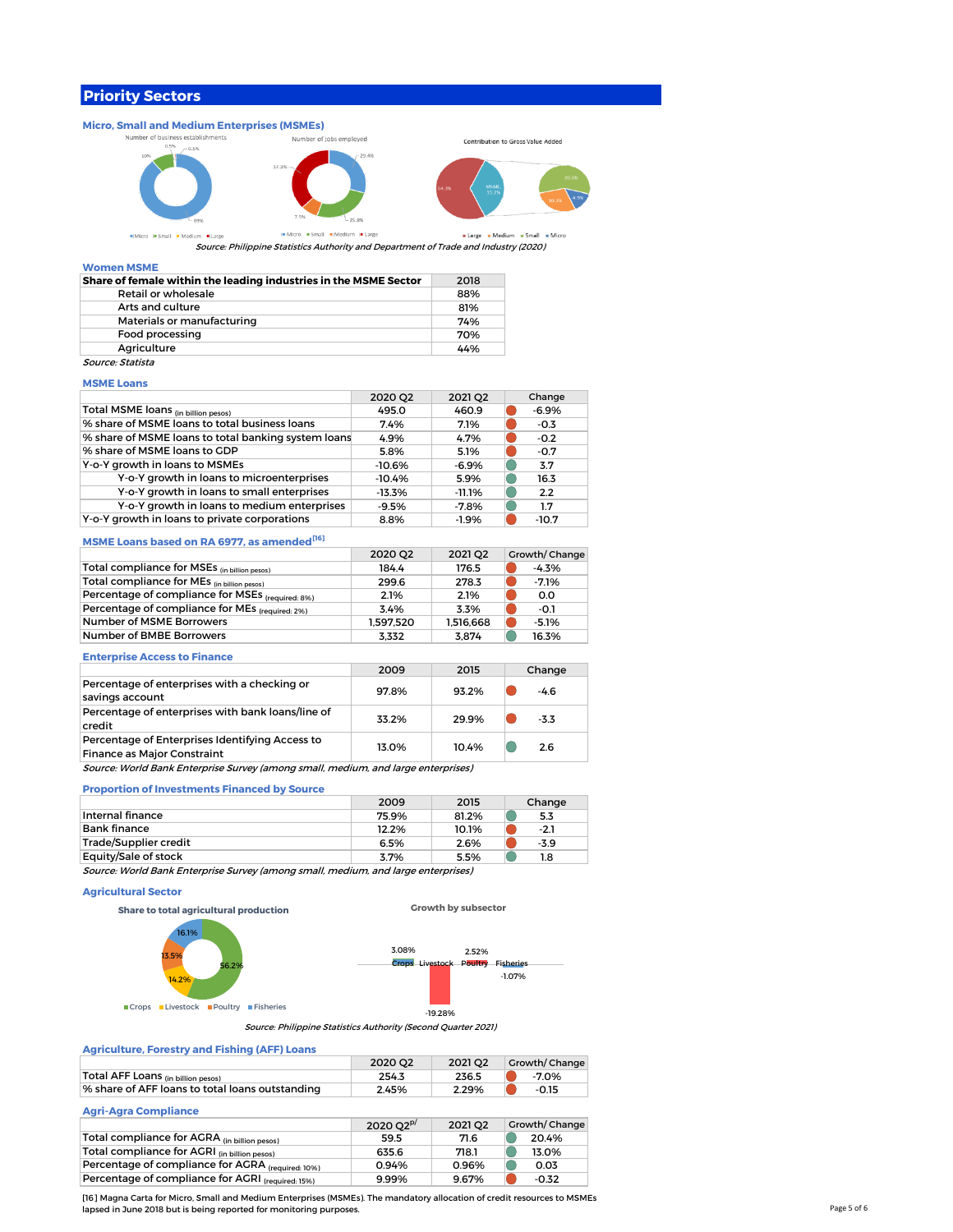# **Priority Sectors**



Source: Philippine Statistics Authority and Department of Trade and Industry (2020)

## **Women MSME**

| Share of female within the leading industries in the MSME Sector | 2018 |
|------------------------------------------------------------------|------|
| Retail or wholesale                                              | 88%  |
| Arts and culture                                                 | 81%  |
| Materials or manufacturing                                       | 74%  |
| Food processing                                                  | 70%  |
| Agriculture                                                      | 44%  |
| Source: Statista                                                 |      |

# **MSME Loans**

|                                                     | 2020 Q2  | 2021 Q2   | Change  |
|-----------------------------------------------------|----------|-----------|---------|
| Total MSME loans (in billion pesos)                 | 495.0    | 460.9     | $-6.9%$ |
| % share of MSME loans to total business loans       | 7.4%     | 7.1%      | $-0.3$  |
| % share of MSME loans to total banking system loans | 4.9%     | 4.7%      | $-0.2$  |
| % share of MSME loans to GDP                        | 5.8%     | 5.1%      | $-0.7$  |
| Y-o-Y growth in loans to MSMEs                      | $-10.6%$ | $-6.9%$   | 3.7     |
| Y-o-Y growth in loans to microenterprises           | $-10.4%$ | 5.9%      | 16.3    |
| Y-o-Y growth in loans to small enterprises          | $-13.3%$ | $-11.1\%$ | 2.2     |
| Y-o-Y growth in loans to medium enterprises         | $-9.5%$  | $-7.8%$   | 1.7     |
| Y-o-Y growth in loans to private corporations       | 8.8%     | $-1.9%$   | $-10.7$ |

### **MSME Loans based on RA 6977, as amended[16]**

|                                                  | 2020 02   | 2021 02   | Growth/Change |
|--------------------------------------------------|-----------|-----------|---------------|
| Total compliance for MSEs (in billion pesos)     | 184.4     | 176.5     | $-4.3%$       |
| Total compliance for MEs (in billion pesos)      | 299.6     | 278.3     | $-7.1%$       |
| Percentage of compliance for MSEs (required: 8%) | 2.1%      | 2.1%      | 0.0           |
| Percentage of compliance for MEs (required: 2%)  | 3.4%      | 3.3%      | -0.1          |
| Number of MSME Borrowers                         | 1.597.520 | 1.516.668 | $-5.1%$       |
| Number of BMBE Borrowers                         | 3.332     | 3.874     | 16.3%         |

### **Enterprise Access to Finance**

|                                                                                       | 2009  | 2015  | Change |
|---------------------------------------------------------------------------------------|-------|-------|--------|
| Percentage of enterprises with a checking or<br>savings account                       | 97.8% | 93.2% | $-4.6$ |
| Percentage of enterprises with bank loans/line of<br>credit                           | 33.2% | 29.9% | $-3.3$ |
| Percentage of Enterprises Identifying Access to<br><b>Finance as Major Constraint</b> | 13.0% | 10.4% | 2.6    |
| Source: World Bank Enterprise Survey (among small, medium, and large enterprises)     |       |       |        |

# **Proportion of Investments Financed by Source**

|                                                                                   | 2009  | 2015  | Change |
|-----------------------------------------------------------------------------------|-------|-------|--------|
| Internal finance                                                                  | 75.9% | 81.2% | 5.3    |
| Bank finance                                                                      | 12.2% | 10.1% | $-2.1$ |
| Trade/Supplier credit                                                             | 6.5%  | 2.6%  | $-3.9$ |
| Equity/Sale of stock                                                              | 3.7%  | 5.5%  | 1.8    |
| Source: World Bank Enterprise Survey (among small, medium, and large enterprises) |       |       |        |

### **Agricultural Sector**

**Share to total agricultural production**



**Growth by subsector**

# **Agriculture, Forestry and Fishing (AFF) Loans**

|                                                 | 2020 02 | 2021 02 | <b>Growth/Change</b> |
|-------------------------------------------------|---------|---------|----------------------|
| Total AFF Loans <sub>(in billion pesos)</sub>   | 254.3   | 236.5   | -7.0%                |
| % share of AFF loans to total loans outstanding | 2.45%   | 2.29%   | $-0.15$              |
|                                                 |         |         |                      |

# **Agri-Agra Compliance**

|                                                   | $2020O2^{p}$ | 2021 02 | Growth/Change |
|---------------------------------------------------|--------------|---------|---------------|
| Total compliance for AGRA (in billion pesos)      | 59.5         | 71.6    | 20.4%         |
| Total compliance for AGRI (in billion pesos)      | 635.6        | 718.1   | 13.0%         |
| Percentage of compliance for AGRA (required: 10%) | 0.94%        | 0.96%   | 0.03          |
| Percentage of compliance for AGRI (required: 15%) | 9.99%        | 9.67%   | $-0.32$       |

[16] Magna Carta for Micro, Small and Medium Enterprises (MSMEs). The mandatory allocation of credit resources to MSMEs lapsed in June 2018 but is being reported for monitoring purposes.